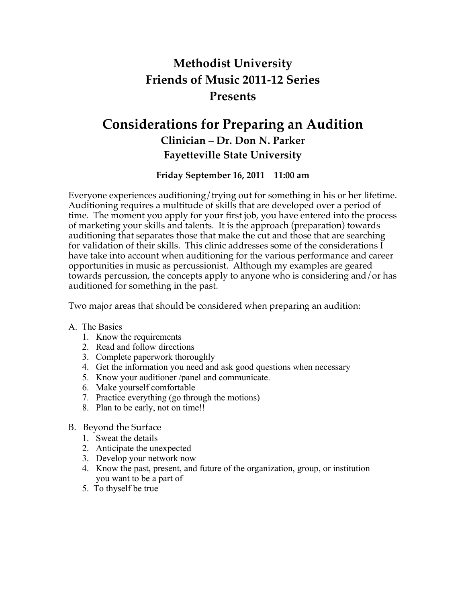# **Methodist University Friends of Music 2011-12 Series Presents**

# **Considerations for Preparing an Audition Clinician – Dr. Don N. Parker Fayetteville State University**

## **Friday September 16, 2011 11:00 am**

Everyone experiences auditioning/trying out for something in his or her lifetime. Auditioning requires a multitude of skills that are developed over a period of time. The moment you apply for your first job, you have entered into the process of marketing your skills and talents. It is the approach (preparation) towards auditioning that separates those that make the cut and those that are searching for validation of their skills. This clinic addresses some of the considerations I have take into account when auditioning for the various performance and career opportunities in music as percussionist. Although my examples are geared towards percussion, the concepts apply to anyone who is considering and/or has auditioned for something in the past.

Two major areas that should be considered when preparing an audition:

- A. The Basics
	- 1. Know the requirements
	- 2. Read and follow directions
	- 3. Complete paperwork thoroughly
	- 4. Get the information you need and ask good questions when necessary
	- 5. Know your auditioner /panel and communicate.
	- 6. Make yourself comfortable
	- 7. Practice everything (go through the motions)
	- 8. Plan to be early, not on time!!

## B. Beyond the Surface

- 1. Sweat the details
- 2. Anticipate the unexpected
- 3. Develop your network now
- 4. Know the past, present, and future of the organization, group, or institution you want to be a part of
- 5. To thyself be true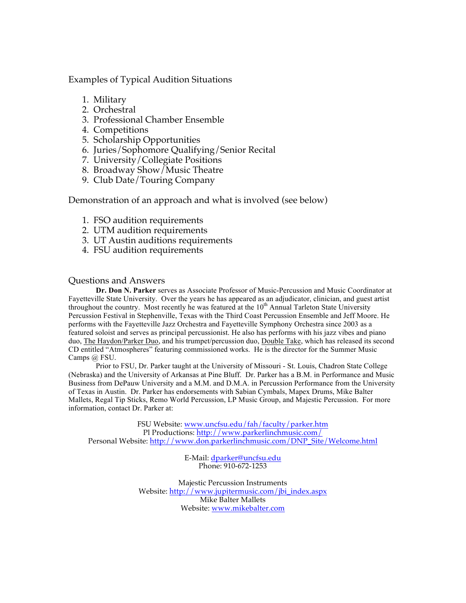Examples of Typical Audition Situations

- 1. Military
- 2. Orchestral
- 3. Professional Chamber Ensemble
- 4. Competitions
- 5. Scholarship Opportunities
- 6. Juries/Sophomore Qualifying/Senior Recital
- 7. University/Collegiate Positions
- 8. Broadway Show/Music Theatre
- 9. Club Date/Touring Company

Demonstration of an approach and what is involved (see below)

- 1. FSO audition requirements
- 2. UTM audition requirements
- 3. UT Austin auditions requirements
- 4. FSU audition requirements

## Questions and Answers

**Dr. Don N. Parker** serves as Associate Professor of Music-Percussion and Music Coordinator at Fayetteville State University. Over the years he has appeared as an adjudicator, clinician, and guest artist throughout the country. Most recently he was featured at the  $10<sup>th</sup>$  Annual Tarleton State University Percussion Festival in Stephenville, Texas with the Third Coast Percussion Ensemble and Jeff Moore. He performs with the Fayetteville Jazz Orchestra and Fayetteville Symphony Orchestra since 2003 as a featured soloist and serves as principal percussionist. He also has performs with his jazz vibes and piano duo, The Haydon/Parker Duo, and his trumpet/percussion duo, Double Take, which has released its second CD entitled "Atmospheres" featuring commissioned works. He is the director for the Summer Music Camps @ FSU.

Prior to FSU, Dr. Parker taught at the University of Missouri - St. Louis, Chadron State College (Nebraska) and the University of Arkansas at Pine Bluff. Dr. Parker has a B.M. in Performance and Music Business from DePauw University and a M.M. and D.M.A. in Percussion Performance from the University of Texas in Austin. Dr. Parker has endorsements with Sabian Cymbals, Mapex Drums, Mike Balter Mallets, Regal Tip Sticks, Remo World Percussion, LP Music Group, and Majestic Percussion. For more information, contact Dr. Parker at:

FSU Website: www.uncfsu.edu/fah/faculty/parker.htm Pl Productions: http://www.parkerlinchmusic.com/ Personal Website: http://www.don.parkerlinchmusic.com/DNP\_Site/Welcome.html

> E-Mail: dparker@uncfsu.edu Phone: 910-672-1253

Majestic Percussion Instruments Website: http://www.jupitermusic.com/jbi\_index.aspx Mike Balter Mallets Website: www.mikebalter.com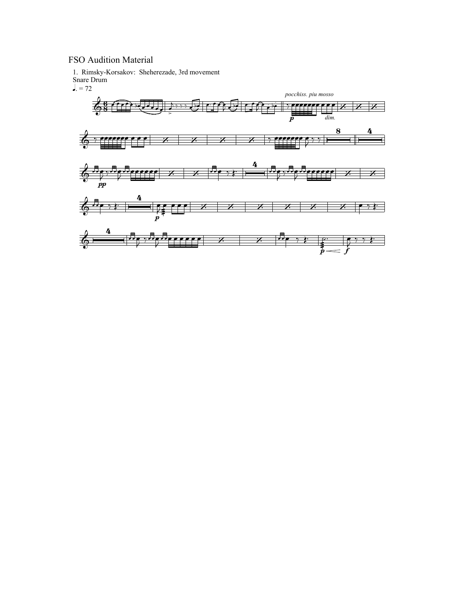## FSO Audition Material

1. Rimsky-Korsakov: Sheherezade, 3rd movement Snare Drum

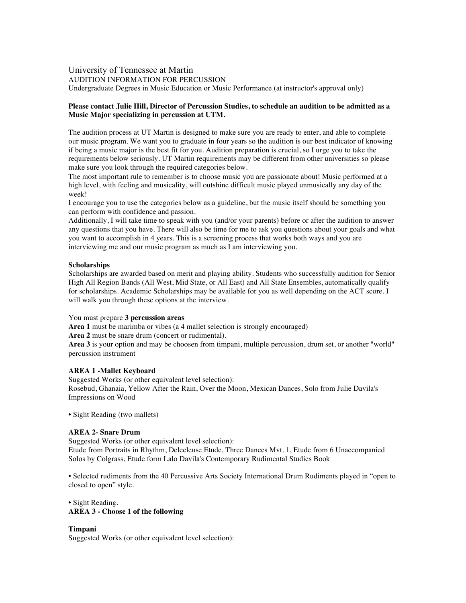### University of Tennessee at Martin AUDITION INFORMATION FOR PERCUSSION

Undergraduate Degrees in Music Education or Music Performance (at instructor's approval only)

#### **Please contact Julie Hill, Director of Percussion Studies, to schedule an audition to be admitted as a Music Major specializing in percussion at UTM.**

The audition process at UT Martin is designed to make sure you are ready to enter, and able to complete our music program. We want you to graduate in four years so the audition is our best indicator of knowing if being a music major is the best fit for you. Audition preparation is crucial, so I urge you to take the requirements below seriously. UT Martin requirements may be different from other universities so please make sure you look through the required categories below.

The most important rule to remember is to choose music you are passionate about! Music performed at a high level, with feeling and musicality, will outshine difficult music played unmusically any day of the week!

I encourage you to use the categories below as a guideline, but the music itself should be something you can perform with confidence and passion.

Additionally, I will take time to speak with you (and/or your parents) before or after the audition to answer any questions that you have. There will also be time for me to ask you questions about your goals and what you want to accomplish in 4 years. This is a screening process that works both ways and you are interviewing me and our music program as much as I am interviewing you.

#### **Scholarships**

Scholarships are awarded based on merit and playing ability. Students who successfully audition for Senior High All Region Bands (All West, Mid State, or All East) and All State Ensembles, automatically qualify for scholarships. Academic Scholarships may be available for you as well depending on the ACT score. I will walk you through these options at the interview.

#### You must prepare **3 percussion areas**

**Area 1** must be marimba or vibes (a 4 mallet selection is strongly encouraged)

**Area 2** must be snare drum (concert or rudimental).

**Area 3** is your option and may be choosen from timpani, multiple percussion, drum set, or another "world" percussion instrument

#### **AREA 1 -Mallet Keyboard**

Suggested Works (or other equivalent level selection): Rosebud, Ghanaia, Yellow After the Rain, Over the Moon, Mexican Dances, Solo from Julie Davila's Impressions on Wood

• Sight Reading (two mallets)

#### **AREA 2- Snare Drum**

Suggested Works (or other equivalent level selection):

Etude from Portraits in Rhythm, Delecleuse Etude, Three Dances Mvt. 1, Etude from 6 Unaccompanied Solos by Colgrass, Etude form Lalo Davila's Contemporary Rudimental Studies Book

• Selected rudiments from the 40 Percussive Arts Society International Drum Rudiments played in "open to closed to open" style.

• Sight Reading. **AREA 3 - Choose 1 of the following**

#### **Timpani**

Suggested Works (or other equivalent level selection):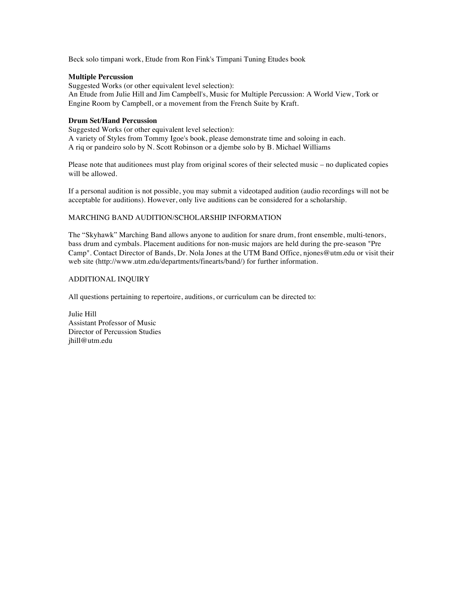Beck solo timpani work, Etude from Ron Fink's Timpani Tuning Etudes book

#### **Multiple Percussion**

Suggested Works (or other equivalent level selection): An Etude from Julie Hill and Jim Campbell's, Music for Multiple Percussion: A World View, Tork or Engine Room by Campbell, or a movement from the French Suite by Kraft.

#### **Drum Set/Hand Percussion**

Suggested Works (or other equivalent level selection): A variety of Styles from Tommy Igoe's book, please demonstrate time and soloing in each. A riq or pandeiro solo by N. Scott Robinson or a djembe solo by B. Michael Williams

Please note that auditionees must play from original scores of their selected music – no duplicated copies will be allowed.

If a personal audition is not possible, you may submit a videotaped audition (audio recordings will not be acceptable for auditions). However, only live auditions can be considered for a scholarship.

#### MARCHING BAND AUDITION/SCHOLARSHIP INFORMATION

The "Skyhawk" Marching Band allows anyone to audition for snare drum, front ensemble, multi-tenors, bass drum and cymbals. Placement auditions for non-music majors are held during the pre-season "Pre Camp". Contact Director of Bands, Dr. Nola Jones at the UTM Band Office, njones@utm.edu or visit their web site (http://www.utm.edu/departments/finearts/band/) for further information.

#### ADDITIONAL INQUIRY

All questions pertaining to repertoire, auditions, or curriculum can be directed to:

Julie Hill Assistant Professor of Music Director of Percussion Studies jhill@utm.edu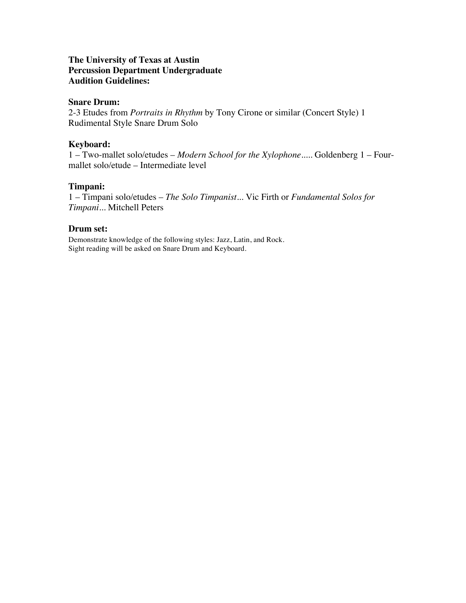## **The University of Texas at Austin Percussion Department Undergraduate Audition Guidelines:**

## **Snare Drum:**

2-3 Etudes from *Portraits in Rhythm* by Tony Cirone or similar (Concert Style) 1 Rudimental Style Snare Drum Solo

## **Keyboard:**

1 – Two-mallet solo/etudes – *Modern School for the Xylophone.....* Goldenberg 1 – Fourmallet solo/etude – Intermediate level

## **Timpani:**

1 – Timpani solo/etudes – *The Solo Timpanist...* Vic Firth or *Fundamental Solos for Timpani...* Mitchell Peters

## **Drum set:**

Demonstrate knowledge of the following styles: Jazz, Latin, and Rock. Sight reading will be asked on Snare Drum and Keyboard.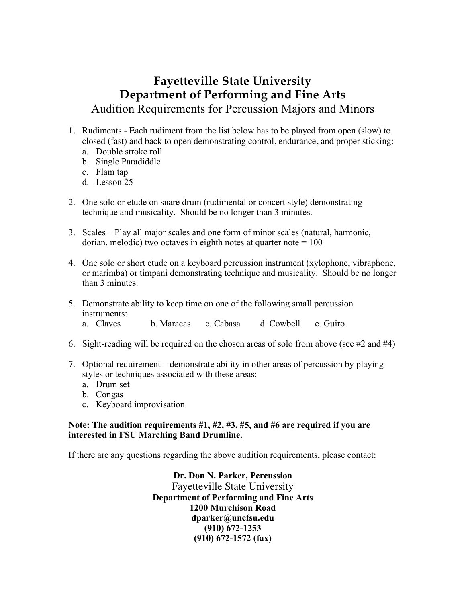## **Fayetteville State University Department of Performing and Fine Arts** Audition Requirements for Percussion Majors and Minors

- 1. Rudiments Each rudiment from the list below has to be played from open (slow) to closed (fast) and back to open demonstrating control, endurance, and proper sticking:
	- a. Double stroke roll
	- b. Single Paradiddle
	- c. Flam tap
	- d. Lesson 25
- 2. One solo or etude on snare drum (rudimental or concert style) demonstrating technique and musicality. Should be no longer than 3 minutes.
- 3. Scales Play all major scales and one form of minor scales (natural, harmonic, dorian, melodic) two octaves in eighth notes at quarter note  $= 100$
- 4. One solo or short etude on a keyboard percussion instrument (xylophone, vibraphone, or marimba) or timpani demonstrating technique and musicality. Should be no longer than 3 minutes.
- 5. Demonstrate ability to keep time on one of the following small percussion instruments: a. Claves b. Maracas c. Cabasa d. Cowbell e. Guiro
- 6. Sight-reading will be required on the chosen areas of solo from above (see #2 and #4)
- 7. Optional requirement demonstrate ability in other areas of percussion by playing styles or techniques associated with these areas:
	- a. Drum set
	- b. Congas
	- c. Keyboard improvisation

## **Note: The audition requirements #1, #2, #3, #5, and #6 are required if you are interested in FSU Marching Band Drumline.**

If there are any questions regarding the above audition requirements, please contact:

**Dr. Don N. Parker, Percussion**  Fayetteville State University **Department of Performing and Fine Arts 1200 Murchison Road dparker@uncfsu.edu (910) 672-1253 (910) 672-1572 (fax)**